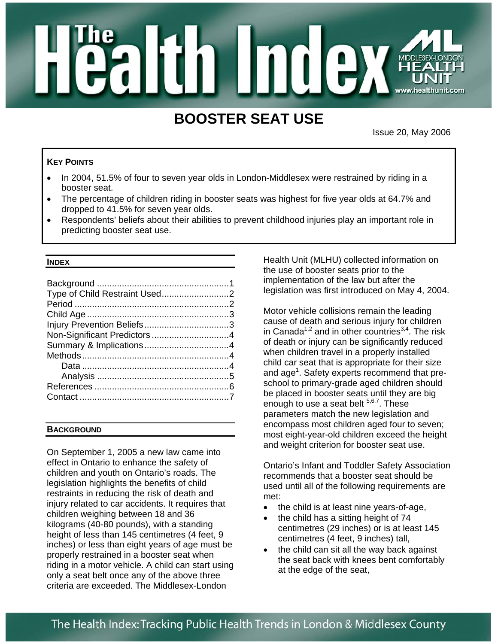# **Hinde** MIDDLES

# **BOOSTER SEAT USE**

Issue 20, May 2006

# **KEY POINTS**

- In 2004, 51.5% of four to seven year olds in London-Middlesex were restrained by riding in a booster seat.
- The percentage of children riding in booster seats was highest for five year olds at 64.7% and dropped to 41.5% for seven year olds.
- Respondents' beliefs about their abilities to prevent childhood injuries play an important role in predicting booster seat use.

#### **INDEX**

# **BACKGROUND**

On September 1, 2005 a new law came into effect in Ontario to enhance the safety of children and youth on Ontario's roads. The legislation highlights the benefits of child restraints in reducing the risk of death and injury related to car accidents. It requires that children weighing between 18 and 36 kilograms (40-80 pounds), with a standing height of less than 145 centimetres (4 feet, 9 inches) or less than eight years of age must be properly restrained in a booster seat when riding in a motor vehicle. A child can start using only a seat belt once any of the above three criteria are exceeded. The Middlesex-London

Health Unit (MLHU) collected information on the use of booster seats prior to the implementation of the law but after the legislation was first introduced on May 4, 2004.

Motor vehicle collisions remain the leading cause of death and serious injury for children in Canada<sup>1,2</sup> and in other countries<sup>3,4</sup>. The risk of death or injury can be significantly reduced when children travel in a properly installed child car seat that is appropriate for their size and age<sup>1</sup>. Safety experts recommend that preschool to primary-grade aged children should be placed in booster seats until they are big enough to use a seat belt  $5,6,7$ . These parameters match the new legislation and encompass most children aged four to seven; most eight-year-old children exceed the height and weight criterion for booster seat use.

Ontario's Infant and Toddler Safety Association recommends that a booster seat should be used until all of the following requirements are met:

- the child is at least nine years-of-age,
- the child has a sitting height of 74 centimetres (29 inches) or is at least 145 centimetres (4 feet, 9 inches) tall,
- the child can sit all the way back against the seat back with knees bent comfortably at the edge of the seat,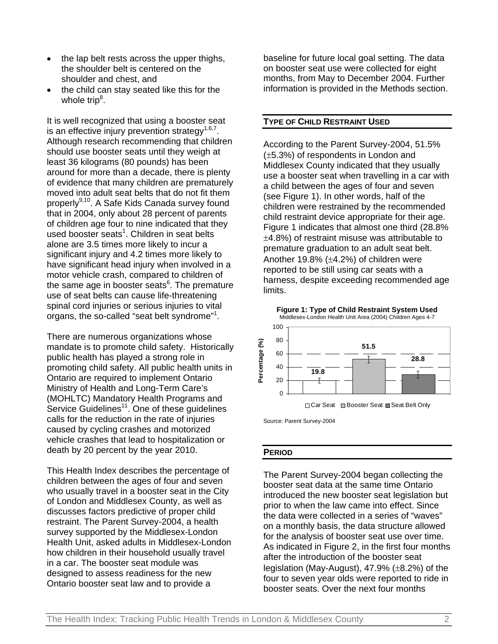- the lap belt rests across the upper thighs, the shoulder belt is centered on the shoulder and chest, and
- the child can stay seated like this for the whole trip<sup>8</sup>.

It is well recognized that using a booster seat is an effective injury prevention strategy<sup> $1,6,7$ </sup>. Although research recommending that children should use booster seats until they weigh at least 36 kilograms (80 pounds) has been around for more than a decade, there is plenty of evidence that many children are prematurely moved into adult seat belts that do not fit them properly<sup>9,10</sup>. A Safe Kids Canada survey found that in 2004, only about 28 percent of parents of children age four to nine indicated that they used booster seats<sup>1</sup>. Children in seat belts alone are 3.5 times more likely to incur a significant injury and 4.2 times more likely to have significant head injury when involved in a motor vehicle crash, compared to children of the same age in booster seats<sup>6</sup>. The premature use of seat belts can cause life-threatening spinal cord injuries or serious injuries to vital organs, the so-called "seat belt syndrome"1 .

There are numerous organizations whose mandate is to promote child safety. Historically public health has played a strong role in promoting child safety. All public health units in Ontario are required to implement Ontario Ministry of Health and Long-Term Care's (MOHLTC) Mandatory Health Programs and Service Guidelines $11$ . One of these quidelines calls for the reduction in the rate of injuries caused by cycling crashes and motorized vehicle crashes that lead to hospitalization or death by 20 percent by the year 2010.

This Health Index describes the percentage of children between the ages of four and seven who usually travel in a booster seat in the City of London and Middlesex County, as well as discusses factors predictive of proper child restraint. The Parent Survey-2004, a health survey supported by the Middlesex-London Health Unit, asked adults in Middlesex-London how children in their household usually travel in a car. The booster seat module was designed to assess readiness for the new Ontario booster seat law and to provide a

baseline for future local goal setting. The data on booster seat use were collected for eight months, from May to December 2004. Further information is provided in the Methods section.

# **TYPE OF CHILD RESTRAINT USED**

According to the Parent Survey-2004, 51.5% (±5.3%) of respondents in London and Middlesex County indicated that they usually use a booster seat when travelling in a car with a child between the ages of four and seven (see Figure 1). In other words, half of the children were restrained by the recommended child restraint device appropriate for their age. Figure 1 indicates that almost one third (28.8% ±4.8%) of restraint misuse was attributable to premature graduation to an adult seat belt. Another 19.8% (±4.2%) of children were reported to be still using car seats with a harness, despite exceeding recommended age limits.



□ Car Seat ■ Booster Seat ■ Seat Belt Only

Source: Parent Survey-2004

#### **PERIOD**

The Parent Survey-2004 began collecting the booster seat data at the same time Ontario introduced the new booster seat legislation but prior to when the law came into effect. Since the data were collected in a series of "waves" on a monthly basis, the data structure allowed for the analysis of booster seat use over time. As indicated in Figure 2, in the first four months after the introduction of the booster seat legislation (May-August), 47.9% (±8.2%) of the four to seven year olds were reported to ride in booster seats. Over the next four months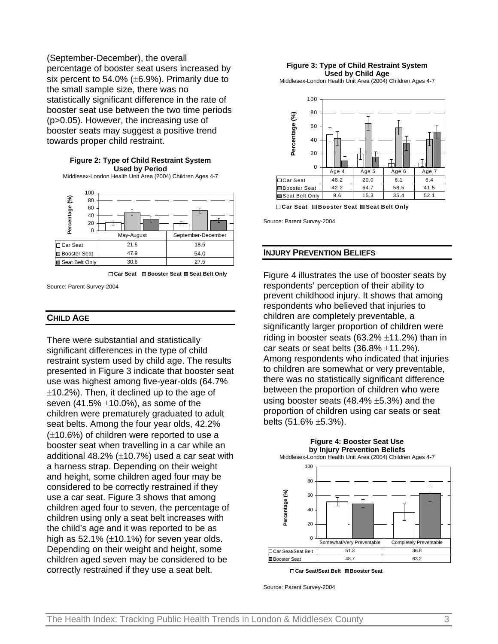(September-December), the overall percentage of booster seat users increased by six percent to 54.0% (±6.9%). Primarily due to the small sample size, there was no statistically significant difference in the rate of booster seat use between the two time periods (p>0.05). However, the increasing use of booster seats may suggest a positive trend towards proper child restraint.

#### **Figure 2: Type of Child Restraint System Used by Period**

Middlesex-London Health Unit Area (2004) Children Ages 4-7



**Car Seat Booster Seat Seat Belt Only**

Source: Parent Survey-2004

#### **CHILD AGE**

There were substantial and statistically significant differences in the type of child restraint system used by child age. The results presented in Figure 3 indicate that booster seat use was highest among five-year-olds (64.7%  $\pm$ 10.2%). Then, it declined up to the age of seven  $(41.5\% \pm 10.0\%)$ , as some of the children were prematurely graduated to adult seat belts. Among the four year olds, 42.2% (±10.6%) of children were reported to use a booster seat when travelling in a car while an additional 48.2%  $(\pm 10.7%)$  used a car seat with a harness strap. Depending on their weight and height, some children aged four may be considered to be correctly restrained if they use a car seat. Figure 3 shows that among children aged four to seven, the percentage of children using only a seat belt increases with the child's age and it was reported to be as high as  $52.1\%$  ( $\pm$ 10.1%) for seven year olds. Depending on their weight and height, some children aged seven may be considered to be correctly restrained if they use a seat belt.

#### **Figure 3: Type of Child Restraint System Used by Child Age**

Middlesex-London Health Unit Area (2004) Children Ages 4-7



**Car Seat Booster Seat Seat Belt Only**

Source: Parent Survey-2004

#### **INJURY PREVENTION BELIEFS**

Figure 4 illustrates the use of booster seats by respondents' perception of their ability to prevent childhood injury. It shows that among respondents who believed that injuries to children are completely preventable, a significantly larger proportion of children were riding in booster seats  $(63.2\% \pm 11.2\%)$  than in car seats or seat belts  $(36.8\% \pm 11.2\%)$ . Among respondents who indicated that injuries to children are somewhat or very preventable, there was no statistically significant difference between the proportion of children who were using booster seats  $(48.4\% \pm 5.3\%)$  and the proportion of children using car seats or seat belts  $(51.6\% \pm 5.3\%)$ .



**Figure 4: Booster Seat Use**

**Car Seat/Seat Belt Booster Seat**

Source: Parent Survey-2004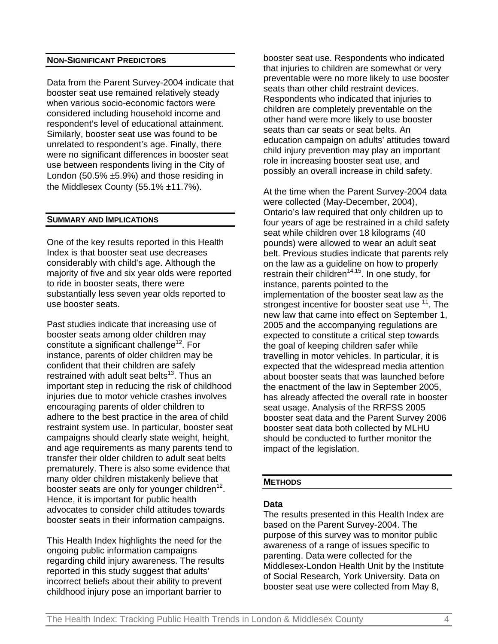# **NON-SIGNIFICANT PREDICTORS**

Data from the Parent Survey-2004 indicate that booster seat use remained relatively steady when various socio-economic factors were considered including household income and respondent's level of educational attainment. Similarly, booster seat use was found to be unrelated to respondent's age. Finally, there were no significant differences in booster seat use between respondents living in the City of London (50.5%  $\pm$ 5.9%) and those residing in the Middlesex County (55.1% ±11.7%).

# **SUMMARY AND IMPLICATIONS**

One of the key results reported in this Health Index is that booster seat use decreases considerably with child's age. Although the majority of five and six year olds were reported to ride in booster seats, there were substantially less seven year olds reported to use booster seats.

Past studies indicate that increasing use of booster seats among older children may constitute a significant challenge<sup>12</sup>. For instance, parents of older children may be confident that their children are safely restrained with adult seat belts $13$ . Thus an important step in reducing the risk of childhood injuries due to motor vehicle crashes involves encouraging parents of older children to adhere to the best practice in the area of child restraint system use. In particular, booster seat campaigns should clearly state weight, height, and age requirements as many parents tend to transfer their older children to adult seat belts prematurely. There is also some evidence that many older children mistakenly believe that booster seats are only for younger children $12$ . Hence, it is important for public health advocates to consider child attitudes towards booster seats in their information campaigns.

This Health Index highlights the need for the ongoing public information campaigns regarding child injury awareness. The results reported in this study suggest that adults' incorrect beliefs about their ability to prevent childhood injury pose an important barrier to

booster seat use. Respondents who indicated that injuries to children are somewhat or very preventable were no more likely to use booster seats than other child restraint devices. Respondents who indicated that injuries to children are completely preventable on the other hand were more likely to use booster seats than car seats or seat belts. An education campaign on adults' attitudes toward child injury prevention may play an important role in increasing booster seat use, and possibly an overall increase in child safety.

At the time when the Parent Survey-2004 data were collected (May-December, 2004), Ontario's law required that only children up to four years of age be restrained in a child safety seat while children over 18 kilograms (40 pounds) were allowed to wear an adult seat belt. Previous studies indicate that parents rely on the law as a guideline on how to properly restrain their children<sup>14,15</sup>. In one study, for instance, parents pointed to the implementation of the booster seat law as the strongest incentive for booster seat use <sup>11</sup>. The new law that came into effect on September 1, 2005 and the accompanying regulations are expected to constitute a critical step towards the goal of keeping children safer while travelling in motor vehicles. In particular, it is expected that the widespread media attention about booster seats that was launched before the enactment of the law in September 2005, has already affected the overall rate in booster seat usage. Analysis of the RRFSS 2005 booster seat data and the Parent Survey 2006 booster seat data both collected by MLHU should be conducted to further monitor the impact of the legislation.

# **METHODS**

# **Data**

The results presented in this Health Index are based on the Parent Survey-2004. The purpose of this survey was to monitor public awareness of a range of issues specific to parenting. Data were collected for the Middlesex-London Health Unit by the Institute of Social Research, York University. Data on booster seat use were collected from May 8,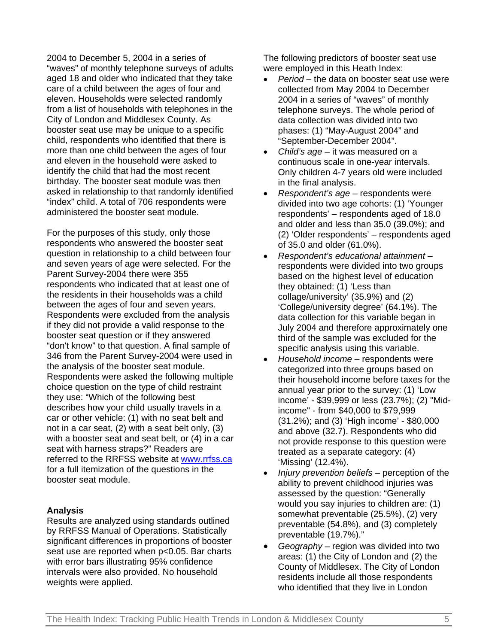2004 to December 5, 2004 in a series of "waves" of monthly telephone surveys of adults aged 18 and older who indicated that they take care of a child between the ages of four and eleven. Households were selected randomly from a list of households with telephones in the City of London and Middlesex County. As booster seat use may be unique to a specific child, respondents who identified that there is more than one child between the ages of four and eleven in the household were asked to identify the child that had the most recent birthday. The booster seat module was then asked in relationship to that randomly identified "index" child. A total of 706 respondents were administered the booster seat module.

For the purposes of this study, only those respondents who answered the booster seat question in relationship to a child between four and seven years of age were selected. For the Parent Survey-2004 there were 355 respondents who indicated that at least one of the residents in their households was a child between the ages of four and seven years. Respondents were excluded from the analysis if they did not provide a valid response to the booster seat question or if they answered "don't know" to that question. A final sample of 346 from the Parent Survey-2004 were used in the analysis of the booster seat module. Respondents were asked the following multiple choice question on the type of child restraint they use: "Which of the following best describes how your child usually travels in a car or other vehicle: (1) with no seat belt and not in a car seat, (2) with a seat belt only, (3) with a booster seat and seat belt, or (4) in a car seat with harness straps?" Readers are referred to the RRFSS website at www.rrfss.ca for a full itemization of the questions in the booster seat module.

# **Analysis**

Results are analyzed using standards outlined by RRFSS Manual of Operations. Statistically significant differences in proportions of booster seat use are reported when p<0.05. Bar charts with error bars illustrating 95% confidence intervals were also provided. No household weights were applied.

The following predictors of booster seat use were employed in this Heath Index:

- *Period* the data on booster seat use were collected from May 2004 to December 2004 in a series of "waves" of monthly telephone surveys. The whole period of data collection was divided into two phases: (1) "May-August 2004" and "September-December 2004".
- *Child's age*  it was measured on a continuous scale in one-year intervals. Only children 4-7 years old were included in the final analysis.
- *Respondent's age* respondents were divided into two age cohorts: (1) 'Younger respondents' – respondents aged of 18.0 and older and less than 35.0 (39.0%); and (2) 'Older respondents' – respondents aged of 35.0 and older (61.0%).
- *Respondent's educational attainment –* respondents were divided into two groups based on the highest level of education they obtained: (1) 'Less than collage/university' (35.9%) and (2) 'College/university degree' (64.1%). The data collection for this variable began in July 2004 and therefore approximately one third of the sample was excluded for the specific analysis using this variable.
- *Household income* respondents were categorized into three groups based on their household income before taxes for the annual year prior to the survey: (1) 'Low income' - \$39,999 or less (23.7%); (2) "Midincome" - from \$40,000 to \$79,999 (31.2%); and (3) 'High income' - \$80,000 and above (32.7). Respondents who did not provide response to this question were treated as a separate category: (4) 'Missing' (12.4%).
- *Injury prevention beliefs* perception of the ability to prevent childhood injuries was assessed by the question: "Generally would you say injuries to children are: (1) somewhat preventable (25.5%), (2) very preventable (54.8%), and (3) completely preventable (19.7%)."
- *Geography* region was divided into two areas: (1) the City of London and (2) the County of Middlesex. The City of London residents include all those respondents who identified that they live in London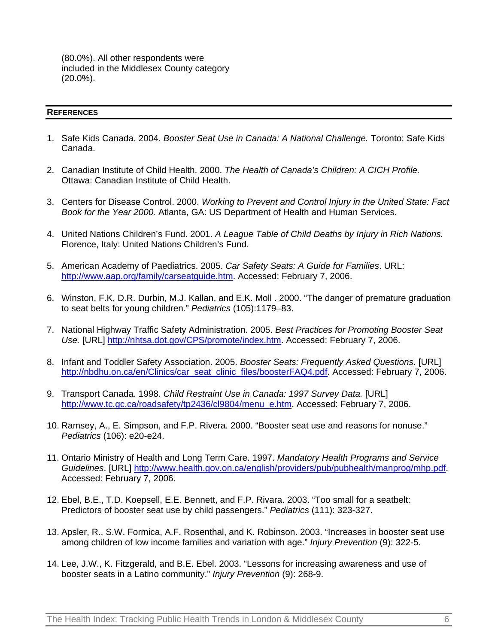(80.0%). All other respondents were included in the Middlesex County category (20.0%).

# **REFERENCES**

- 1. Safe Kids Canada. 2004. *Booster Seat Use in Canada: A National Challenge.* Toronto: Safe Kids Canada.
- 2. Canadian Institute of Child Health. 2000. *The Health of Canada's Children: A CICH Profile.* Ottawa: Canadian Institute of Child Health.
- 3. Centers for Disease Control. 2000. *Working to Prevent and Control Injury in the United State: Fact Book for the Year 2000.* Atlanta, GA: US Department of Health and Human Services.
- 4. United Nations Children's Fund. 2001. *A League Table of Child Deaths by Injury in Rich Nations.* Florence, Italy: United Nations Children's Fund.
- 5. American Academy of Paediatrics. 2005. *Car Safety Seats: A Guide for Families*. URL: http://www.aap.org/family/carseatguide.htm. Accessed: February 7, 2006.
- 6. Winston, F.K, D.R. Durbin, M.J. Kallan, and E.K. Moll . 2000. "The danger of premature graduation to seat belts for young children." *Pediatrics* (105):1179–83.
- 7. National Highway Traffic Safety Administration. 2005. *Best Practices for Promoting Booster Seat Use.* [URL] http://nhtsa.dot.gov/CPS/promote/index.htm. Accessed: February 7, 2006.
- 8. Infant and Toddler Safety Association. 2005. *Booster Seats: Frequently Asked Questions.* [URL] http://nbdhu.on.ca/en/Clinics/car\_seat\_clinic\_files/boosterFAQ4.pdf. Accessed: February 7, 2006.
- 9. Transport Canada. 1998. *Child Restraint Use in Canada: 1997 Survey Data.* [URL] http://www.tc.gc.ca/roadsafety/tp2436/cl9804/menu\_e.htm. Accessed: February 7, 2006.
- 10. Ramsey, A., E. Simpson, and F.P. Rivera. 2000. "Booster seat use and reasons for nonuse." *Pediatrics* (106): e20-e24.
- 11. Ontario Ministry of Health and Long Term Care. 1997. *Mandatory Health Programs and Service Guidelines*. [URL] http://www.health.gov.on.ca/english/providers/pub/pubhealth/manprog/mhp.pdf. Accessed: February 7, 2006.
- 12. Ebel, B.E., T.D. Koepsell, E.E. Bennett, and F.P. Rivara. 2003. "Too small for a seatbelt: Predictors of booster seat use by child passengers." *Pediatrics* (111): 323-327.
- 13. Apsler, R., S.W. Formica, A.F. Rosenthal, and K. Robinson. 2003. "Increases in booster seat use among children of low income families and variation with age." *Injury Prevention* (9): 322-5.
- 14. Lee, J.W., K. Fitzgerald, and B.E. Ebel. 2003. "Lessons for increasing awareness and use of booster seats in a Latino community." *Injury Prevention* (9): 268-9.